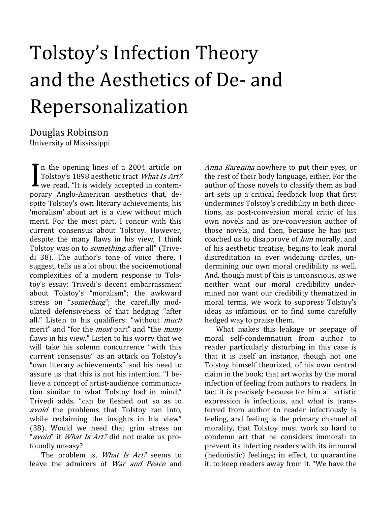# Tolstoy's Infection Theory and the Aesthetics of De- and Repersonalization

Douglas Robinson University of Mississippi

n the opening lines of a 2004 article on Tolstoy's 1898 aesthetic tract What Is Art? we read, "It is widely accepted in contemporary Anglo-American aesthetics that, despite Tolstoy's own literary achievements, his 'moralism' about art is a view without much merit. For the most part, I concur with this current consensus about Tolstoy. However, despite the many flaws in his view, I think Tolstoy was on to *something*, after all" (Trivedi 38). The author's tone of voice there, I suggest, tells us a lot about the socioemotional complexities of a modern response to Tolstoy's essay: Trivedi's decent embarrassment about Tolstoy's "moralism"; the awkward stress on "something"; the carefully modulated defensiveness of that hedging "after all." Listen to his qualifiers: "without much merit" and "for the *most* part" and "the *many* flaws in his view." Listen to his worry that we will take his solemn concurrence "with this current consensus" as an attack on Tolstoy's "own literary achievements" and his need to assure us that this is not his intention. "I believe a concept of artist-audience communication similar to what Tolstoy had in mind," Trivedi adds, "can be fleshed out so as to avoid the problems that Tolstoy ran into, while reclaiming the insights in his view" (38). Would we need that grim stress on "*avoid*" if *What Is Art?* did not make us profoundly uneasy?

The problem is, *What Is Art?* seems to leave the admirers of *War and Peace* and Anna Karenina nowhere to put their eyes, or the rest of their body language, either. For the author of those novels to classify them as bad art sets up a critical feedback loop that first undermines Tolstoy's credibility in both directions, as post-conversion moral critic of his own novels and as pre-conversion author of those novels, and then, because he has just coached us to disapprove of him morally, and of his aesthetic treatise, begins to leak moral discreditation in ever widening circles, undermining our own moral credibility as well. And, though most of this is unconscious, as we neither want our moral credibility undermined nor want our credibility thematized in moral terms, we work to suppress Tolstoy's ideas as infamous, or to find some carefully hedged way to praise them.

What makes this leakage or seepage of moral self-condemnation from author to reader particularly disturbing in this case is that it is itself an instance, though not one Tolstoy himself theorized, of his own central claim in the book: that art works by the moral infection of feeling from authors to readers. In fact it is precisely because for him all artistic expression is infectious, and what is transferred from author to reader infectiously is feeling, and feeling is the primary channel of morality, that Tolstoy must work so hard to condemn art that he considers immoral: to prevent its infecting readers with its immoral (hedonistic) feelings; in effect, to quarantine it, to keep readers away from it. "We have the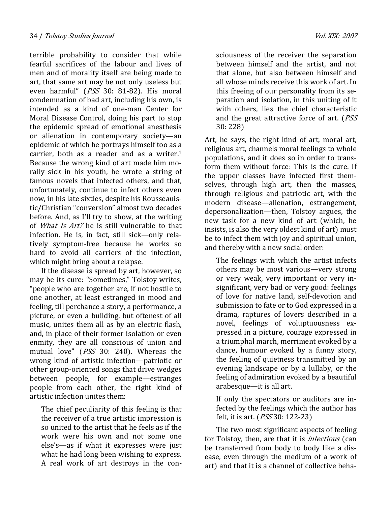terrible probability to consider that while fearful sacrifices of the labour and lives of men and of morality itself are being made to art, that same art may be not only useless but even harmful" (PSS 30: 81-82). His moral condemnation of bad art, including his own, is intended as a kind of one-man Center for Moral Disease Control, doing his part to stop the epidemic spread of emotional anesthesis or alienation in contemporary society—an epidemic of which he portrays himself too as a carrier, both as a reader and as a writer.<sup>1</sup> Because the wrong kind of art made him morally sick in his youth, he wrote a string of famous novels that infected others, and that, unfortunately, continue to infect others even now, in his late sixties, despite his Rousseauistic/Christian "conversion" almost two decades before. And, as I'll try to show, at the writing of *What Is Art?* he is still vulnerable to that infection. He is, in fact, still sick—only relatively symptom-free because he works so hard to avoid all carriers of the infection, which might bring about a relapse.

If the disease is spread by art, however, so may be its cure: "Sometimes," Tolstoy writes, "people who are together are, if not hostile to one another, at least estranged in mood and feeling, till perchance a story, a performance, a picture, or even a building, but oftenest of all music, unites them all as by an electric flash, and, in place of their former isolation or even enmity, they are all conscious of union and mutual love" (PSS 30: 240). Whereas the wrong kind of artistic infection—patriotic or other group-oriented songs that drive wedges between people, for example—estranges people from each other, the right kind of artistic infection unites them:

The chief peculiarity of this feeling is that the receiver of a true artistic impression is so united to the artist that he feels as if the work were his own and not some one else's—as if what it expresses were just what he had long been wishing to express. A real work of art destroys in the consciousness of the receiver the separation between himself and the artist, and not that alone, but also between himself and all whose minds receive this work of art. In this freeing of our personality from its separation and isolation, in this uniting of it with others, lies the chief characteristic and the great attractive force of art. (*PSS* 30: 228)

Art, he says, the right kind of art, moral art, religious art, channels moral feelings to whole populations, and it does so in order to transform them without force: This is the cure. If the upper classes have infected first themselves, through high art, then the masses, through religious and patriotic art, with the modern disease—alienation, estrangement, depersonalization—then, Tolstoy argues, the new task for a new kind of art (which, he insists, is also the very oldest kind of art) must be to infect them with joy and spiritual union, and thereby with a new social order:

The feelings with which the artist infects others may be most various—very strong or very weak, very important or very insignificant, very bad or very good: feelings of love for native land, self-devotion and submission to fate or to God expressed in a drama, raptures of lovers described in a novel, feelings of voluptuousness expressed in a picture, courage expressed in a triumphal march, merriment evoked by a dance, humour evoked by a funny story, the feeling of quietness transmitted by an evening landscape or by a lullaby, or the feeling of admiration evoked by a beautiful arabesque—it is all art.

If only the spectators or auditors are infected by the feelings which the author has felt, it is art. (PSS 30: 122-23)

The two most significant aspects of feeling for Tolstoy, then, are that it is *infectious* (can be transferred from body to body like a disease, even through the medium of a work of art) and that it is a channel of collective beha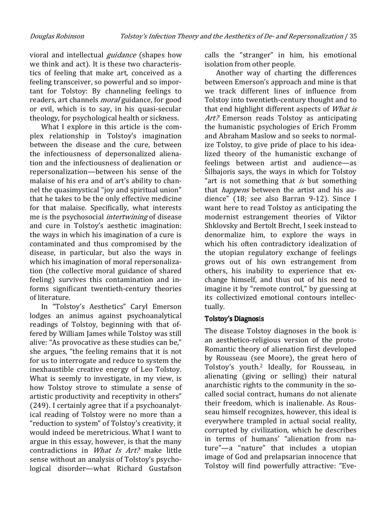vioral and intellectual *guidance* (shapes how we think and act). It is these two characteristics of feeling that make art, conceived as a feeling transceiver, so powerful and so important for Tolstoy: By channeling feelings to readers, art channels *moral* guidance, for good or evil, which is to say, in his quasi-secular theology, for psychological health or sickness.

What I explore in this article is the complex relationship in Tolstoy's imagination between the disease and the cure, between the infectiousness of depersonalized alienation and the infectiousness of dealienation or repersonalization—between his sense of the malaise of his era and of art's ability to channel the quasimystical "joy and spiritual union" that he takes to be the only effective medicine for that malaise. Specifically, what interests me is the psychosocial *intertwining* of disease and cure in Tolstoy's aesthetic imagination: the ways in which his imagination of a cure is contaminated and thus compromised by the disease, in particular, but also the ways in which his imagination of moral repersonalization (the collective moral guidance of shared feeling) survives this contamination and informs significant twentieth-century theories of literature.

In "Tolstoy's Aesthetics" Caryl Emerson lodges an animus against psychoanalytical readings of Tolstoy, beginning with that offered by William James while Tolstoy was still alive: "As provocative as these studies can be," she argues, "the feeling remains that it is not for us to interrogate and reduce to system the inexhaustible creative energy of Leo Tolstoy. What is seemly to investigate, in my view, is how Tolstoy strove to stimulate a sense of artistic productivity and receptivity in others" (249). I certainly agree that if a psychoanalytical reading of Tolstoy were no more than a "reduction to system" of Tolstoy's creativity, it would indeed be meretricious. What I want to argue in this essay, however, is that the many contradictions in What Is Art? make little sense without an analysis of Tolstoy's psychological disorder—what Richard Gustafson

calls the "stranger" in him, his emotional isolation from other people.

Another way of charting the differences between Emerson's approach and mine is that we track different lines of influence from Tolstoy into twentieth-century thought and to that end highlight different aspects of What is Art? Emerson reads Tolstoy as anticipating the humanistic psychologies of Erich Fromm and Abraham Maslow and so seeks to normalize Tolstoy, to give pride of place to his idealized theory of the humanistic exchange of feelings between artist and audience—as Šilbajoris says, the ways in which for Tolstoy "art is not something that  $is$  but something that *happens* between the artist and his audience" (18; see also Barran 9-12). Since I want here to read Tolstoy as anticipating the modernist estrangement theories of Viktor Shklovsky and Bertolt Brecht, I seek instead to denormalize him, to explore the ways in which his often contradictory idealization of the utopian regulatory exchange of feelings grows out of his own estrangement from others, his inability to experience that exchange himself, and thus out of his need to imagine it by "remote control," by guessing at its collectivized emotional contours intellectually.

## Tolstoy's Diagnosis

The disease Tolstoy diagnoses in the book is an aesthetico-religious version of the proto-Romantic theory of alienation first developed by Rousseau (see Moore), the great hero of Tolstoy's youth.2 Ideally, for Rousseau, in alienating (giving or selling) their natural anarchistic rights to the community in the socalled social contract, humans do not alienate their freedom, which is inalienable. As Rousseau himself recognizes, however, this ideal is everywhere trampled in actual social reality, corrupted by civilization, which he describes in terms of humans' "alienation from nature"—a "nature" that includes a utopian image of God and prelapsarian innocence that Tolstoy will find powerfully attractive: "Eve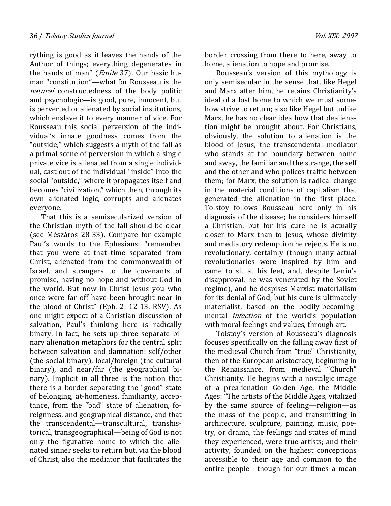rything is good as it leaves the hands of the Author of things; everything degenerates in the hands of man" (*Emile* 37). Our basic human "constitution"—what for Rousseau is the natural constructedness of the body politic and psychologic—is good, pure, innocent, but is perverted or alienated by social institutions, which enslave it to every manner of vice. For Rousseau this social perversion of the individual's innate goodness comes from the "outside," which suggests a myth of the fall as a primal scene of perversion in which a single private vice is alienated from a single individual, cast out of the individual "inside" into the social "outside," where it propagates itself and becomes "civilization," which then, through its own alienated logic, corrupts and alienates everyone.

That this is a semisecularized version of the Christian myth of the fall should be clear (see Mészáros 28-33). Compare for example Paul's words to the Ephesians: "remember that you were at that time separated from Christ, alienated from the commonwealth of Israel, and strangers to the covenants of promise, having no hope and without God in the world. But now in Christ Jesus you who once were far off have been brought near in the blood of Christ" (Eph. 2: 12-13, RSV). As one might expect of a Christian discussion of salvation, Paul's thinking here is radically binary. In fact, he sets up three separate binary alienation metaphors for the central split between salvation and damnation: self/other (the social binary), local/foreign (the cultural binary), and near/far (the geographical binary). Implicit in all three is the notion that there is a border separating the "good" state of belonging, at-homeness, familiarity, acceptance, from the "bad" state of alienation, foreignness, and geographical distance, and that the transcendental—transcultural, transhistorical, transgeographical—being of God is not only the figurative home to which the alienated sinner seeks to return but, via the blood of Christ, also the mediator that facilitates the

border crossing from there to here, away to home, alienation to hope and promise.

Rousseau's version of this mythology is only semisecular in the sense that, like Hegel and Marx after him, he retains Christianity's ideal of a lost home to which we must somehow strive to return; also like Hegel but unlike Marx, he has no clear idea how that dealienation might be brought about. For Christians, obviously, the solution to alienation is the blood of Jesus, the transcendental mediator who stands at the boundary between home and away, the familiar and the strange, the self and the other and who polices traffic between them; for Marx, the solution is radical change in the material conditions of capitalism that generated the alienation in the first place. Tolstoy follows Rousseau here only in his diagnosis of the disease; he considers himself a Christian, but for his cure he is actually closer to Marx than to Jesus, whose divinity and mediatory redemption he rejects. He is no revolutionary, certainly (though many actual revolutionaries were inspired by him and came to sit at his feet, and, despite Lenin's disapproval, he was venerated by the Soviet regime), and he despises Marxist materialism for its denial of God; but his cure is ultimately materialist, based on the bodily-becomingmental *infection* of the world's population with moral feelings and values, through art.

Tolstoy's version of Rousseau's diagnosis focuses specifically on the falling away first of the medieval Church from "true" Christianity, then of the European aristocracy, beginning in the Renaissance, from medieval "Church" Christianity. He begins with a nostalgic image of a prealienation Golden Age, the Middle Ages: "The artists of the Middle Ages, vitalized by the same source of feeling—religion—as the mass of the people, and transmitting in architecture, sculpture, painting, music, poetry, or drama, the feelings and states of mind they experienced, were true artists; and their activity, founded on the highest conceptions accessible to their age and common to the entire people—though for our times a mean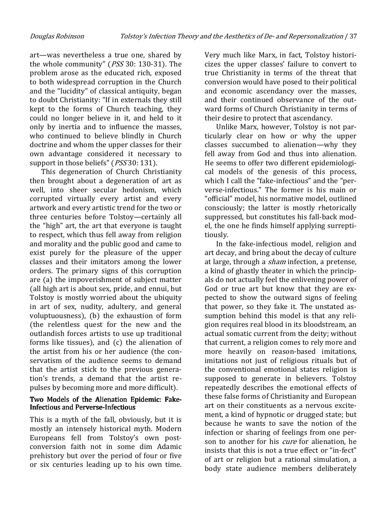art—was nevertheless a true one, shared by the whole community" (PSS 30: 130-31). The problem arose as the educated rich, exposed to both widespread corruption in the Church and the "lucidity" of classical antiquity, began to doubt Christianity: "If in externals they still kept to the forms of Church teaching, they could no longer believe in it, and held to it only by inertia and to influence the masses, who continued to believe blindly in Church doctrine and whom the upper classes for their own advantage considered it necessary to support in those beliefs" (*PSS* 30: 131).

This degeneration of Church Christianity then brought about a degeneration of art as well, into sheer secular hedonism, which corrupted virtually every artist and every artwork and every artistic trend for the two or three centuries before Tolstoy—certainly all the "high" art, the art that everyone is taught to respect, which thus fell away from religion and morality and the public good and came to exist purely for the pleasure of the upper classes and their imitators among the lower orders. The primary signs of this corruption are (a) the impoverishment of subject matter (all high art is about sex, pride, and ennui, but Tolstoy is mostly worried about the ubiquity in art of sex, nudity, adultery, and general voluptuousness), (b) the exhaustion of form (the relentless quest for the new and the outlandish forces artists to use up traditional forms like tissues), and (c) the alienation of the artist from his or her audience (the conservatism of the audience seems to demand that the artist stick to the previous generation's trends, a demand that the artist repulses by becoming more and more difficult).

#### Two Models of the Alienation Epidemic: Fake-**Infectious and Perverse-Infectious**

This is a myth of the fall, obviously, but it is mostly an intensely historical myth. Modern Europeans fell from Tolstoy's own postconversion faith not in some dim Adamic prehistory but over the period of four or five or six centuries leading up to his own time. Very much like Marx, in fact, Tolstoy historicizes the upper classes' failure to convert to true Christianity in terms of the threat that conversion would have posed to their political and economic ascendancy over the masses, and their continued observance of the outward forms of Church Christianity in terms of their desire to protect that ascendancy.

Unlike Marx, however, Tolstoy is not particularly clear on how or why the upper classes succumbed to alienation—why they fell away from God and thus into alienation. He seems to offer two different epidemiological models of the genesis of this process, which I call the "fake-infectious" and the "perverse-infectious." The former is his main or "official" model, his normative model, outlined consciously; the latter is mostly rhetorically suppressed, but constitutes his fall-back model, the one he finds himself applying surreptitiously.

In the fake-infectious model, religion and art decay, and bring about the decay of culture at large, through a *sham* infection, a pretense, a kind of ghastly theater in which the principals do not actually feel the enlivening power of God or true art but know that they are expected to show the outward signs of feeling that power, so they fake it. The unstated assumption behind this model is that any religion requires real blood in its bloodstream, an actual somatic current from the deity; without that current, a religion comes to rely more and more heavily on reason-based imitations, imitations not just of religious rituals but of the conventional emotional states religion is supposed to generate in believers. Tolstoy repeatedly describes the emotional effects of these false forms of Christianity and European art on their constituents as a nervous excitement, a kind of hypnotic or drugged state; but because he wants to save the notion of the infection or sharing of feelings from one person to another for his *cure* for alienation, he insists that this is not a true effect or "in-fect" of art or religion but a rational simulation, a body state audience members deliberately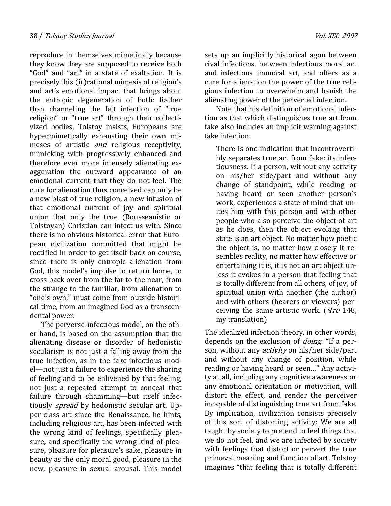reproduce in themselves mimetically because they know they are supposed to receive both "God" and "art" in a state of exaltation. It is precisely this (ir)rational mimesis of religion's and art's emotional impact that brings about the entropic degeneration of both: Rather than channeling the felt infection of "true religion" or "true art" through their collectivized bodies, Tolstoy insists, Europeans are hypermimetically exhausting their own mimeses of artistic and religious receptivity, mimicking with progressively enhanced and therefore ever more intensely alienating exaggeration the outward appearance of an emotional current that they do not feel. The cure for alienation thus conceived can only be a new blast of true religion, a new infusion of that emotional current of joy and spiritual union that only the true (Rousseauistic or Tolstoyan) Christian can infect us with. Since there is no obvious historical error that European civilization committed that might be rectified in order to get itself back on course, since there is only entropic alienation from God, this model's impulse to return home, to cross back over from the far to the near, from the strange to the familiar, from alienation to "one's own," must come from outside historical time, from an imagined God as a transcendental power.

The perverse-infectious model, on the other hand, is based on the assumption that the alienating disease or disorder of hedonistic secularism is not just a falling away from the true infection, as in the fake-infectious model—not just a failure to experience the sharing of feeling and to be enlivened by that feeling, not just a repeated attempt to conceal that failure through shamming—but itself infectiously *spread* by hedonistic secular art. Upper-class art since the Renaissance, he hints, including religious art, has been infected with the wrong kind of feelings, specifically pleasure, and specifically the wrong kind of pleasure, pleasure for pleasure's sake, pleasure in beauty as the only moral good, pleasure in the new, pleasure in sexual arousal. This model

sets up an implicitly historical agon between rival infections, between infectious moral art and infectious immoral art, and offers as a cure for alienation the power of the true religious infection to overwhelm and banish the alienating power of the perverted infection.

Note that his definition of emotional infection as that which distinguishes true art from fake also includes an implicit warning against fake infection:

There is one indication that incontrovertibly separates true art from fake: its infectiousness. If a person, without any activity on his/her side/part and without any change of standpoint, while reading or having heard or seen another person's work, experiences a state of mind that unites him with this person and with other people who also perceive the object of art as he does, then the object evoking that state is an art object. No matter how poetic the object is, no matter how closely it resembles reality, no matter how effective or entertaining it is, it is not an art object unless it evokes in a person that feeling that is totally different from all others, of joy, of spiritual union with another (the author) and with others (hearers or viewers) perceiving the same artistic work. (*Что* 148, my translation)

The idealized infection theory, in other words, depends on the exclusion of *doing*: "If a person, without any *activity* on his/her side/part and without any change of position, while reading or having heard or seen…" Any activity at all, including any cognitive awareness or any emotional orientation or motivation, will distort the effect, and render the perceiver incapable of distinguishing true art from fake. By implication, civilization consists precisely of this sort of distorting activity: We are all taught by society to pretend to feel things that we do not feel, and we are infected by society with feelings that distort or pervert the true primeval meaning and function of art. Tolstoy imagines "that feeling that is totally different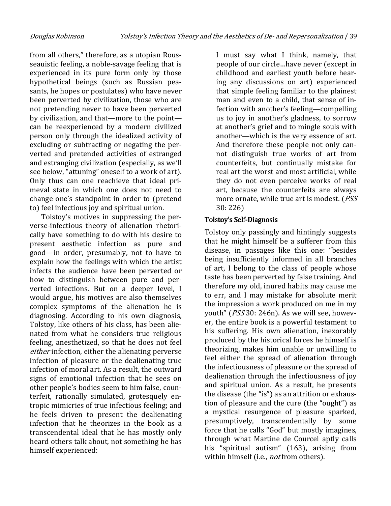from all others," therefore, as a utopian Rousseauistic feeling, a noble-savage feeling that is experienced in its pure form only by those hypothetical beings (such as Russian peasants, he hopes or postulates) who have never been perverted by civilization, those who are not pretending never to have been perverted by civilization, and that—more to the point can be reexperienced by a modern civilized person only through the idealized activity of excluding or subtracting or negating the perverted and pretended activities of estranged and estranging civilization (especially, as we'll see below, "attuning" oneself to a work of art). Only thus can one reachieve that ideal primeval state in which one does not need to change one's standpoint in order to (pretend to) feel infectious joy and spiritual union.

Tolstoy's motives in suppressing the perverse-infectious theory of alienation rhetorically have something to do with his desire to present aesthetic infection as pure and good—in order, presumably, not to have to explain how the feelings with which the artist infects the audience have been perverted or how to distinguish between pure and perverted infections. But on a deeper level, I would argue, his motives are also themselves complex symptoms of the alienation he is diagnosing. According to his own diagnosis, Tolstoy, like others of his class, has been alienated from what he considers true religious feeling, anesthetized, so that he does not feel either infection, either the alienating perverse infection of pleasure or the dealienating true infection of moral art. As a result, the outward signs of emotional infection that he sees on other people's bodies seem to him false, counterfeit, rationally simulated, grotesquely entropic mimicries of true infectious feeling; and he feels driven to present the dealienating infection that he theorizes in the book as a transcendental ideal that he has mostly only heard others talk about, not something he has himself experienced:

I must say what I think, namely, that people of our circle…have never (except in childhood and earliest youth before hearing any discussions on art) experienced that simple feeling familiar to the plainest man and even to a child, that sense of infection with another's feeling—compelling us to joy in another's gladness, to sorrow at another's grief and to mingle souls with another—which is the very essence of art. And therefore these people not only cannot distinguish true works of art from counterfeits, but continually mistake for real art the worst and most artificial, while they do not even perceive works of real art, because the counterfeits are always more ornate, while true art is modest. (PSS 30: 226)

## Tolstoy's Self-Diagnosis

Tolstoy only passingly and hintingly suggests that he might himself be a sufferer from this disease, in passages like this one: "besides being insufficiently informed in all branches of art, I belong to the class of people whose taste has been perverted by false training. And therefore my old, inured habits may cause me to err, and I may mistake for absolute merit the impression a work produced on me in my youth" (PSS 30: 246n). As we will see, however, the entire book is a powerful testament to his suffering. His own alienation, inexorably produced by the historical forces he himself is theorizing, makes him unable or unwilling to feel either the spread of alienation through the infectiousness of pleasure or the spread of dealienation through the infectiousness of joy and spiritual union. As a result, he presents the disease (the "is") as an attrition or exhaustion of pleasure and the cure (the "ought") as a mystical resurgence of pleasure sparked, presumptively, transcendentally by some force that he calls "God" but mostly imagines, through what Martine de Courcel aptly calls his "spiritual autism" (163), arising from within himself (i.e., *not* from others).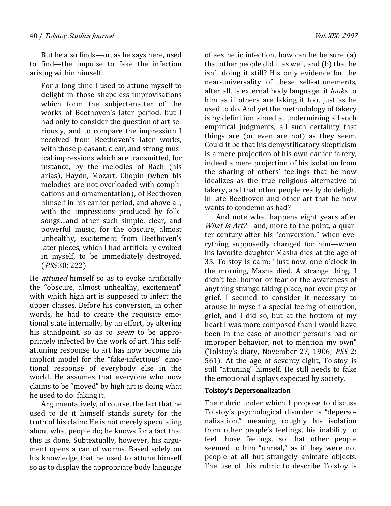But he also finds—or, as he says here, used to find—the impulse to fake the infection arising within himself:

For a long time I used to attune myself to delight in those shapeless improvisations which form the subject-matter of the works of Beethoven's later period, but I had only to consider the question of art seriously, and to compare the impression I received from Beethoven's later works, with those pleasant, clear, and strong musical impressions which are transmitted, for instance, by the melodies of Bach (his arias), Haydn, Mozart, Chopin (when his melodies are not overloaded with complications and ornamentation), of Beethoven himself in his earlier period, and above all, with the impressions produced by folksongs…and other such simple, clear, and powerful music, for the obscure, almost unhealthy, excitement from Beethoven's later pieces, which I had artificially evoked in myself, to be immediately destroyed. (PSS 30: 222)

He attuned himself so as to evoke artificially the "obscure, almost unhealthy, excitement" with which high art is supposed to infect the upper classes. Before his conversion, in other words, he had to create the requisite emotional state internally, by an effort, by altering his standpoint, so as to *seem* to be appropriately infected by the work of art. This selfattuning response to art has now become his implicit model for the "fake-infectious" emotional response of everybody else in the world. He assumes that everyone who now claims to be "moved" by high art is doing what he used to do: faking it.

Argumentatively, of course, the fact that he used to do it himself stands surety for the truth of his claim: He is not merely speculating about what people do; he knows for a fact that this is done. Subtextually, however, his argument opens a can of worms. Based solely on his knowledge that he used to attune himself so as to display the appropriate body language

of aesthetic infection, how can he be sure (a) that other people did it as well, and (b) that he isn't doing it still? His only evidence for the near-universality of these self-attunements, after all, is external body language: it *looks* to him as if others are faking it too, just as he used to do. And yet the methodology of fakery is by definition aimed at undermining all such empirical judgments, all such certainty that things are (or even are not) as they seem. Could it be that his demystificatory skepticism is a mere projection of his own earlier fakery, indeed a mere projection of his isolation from the sharing of others' feelings that he now idealizes as the true religious alternative to fakery, and that other people really do delight in late Beethoven and other art that he now wants to condemn as bad?

And note what happens eight years after What is Art?—and, more to the point, a quarter century after his "conversion," when everything supposedly changed for him—when his favorite daughter Masha dies at the age of 35. Tolstoy is calm: "Just now, one o'clock in the morning, Masha died. A strange thing. I didn't feel horror or fear or the awareness of anything strange taking place, nor even pity or grief. I seemed to consider it necessary to arouse in myself a special feeling of emotion, grief, and I did so, but at the bottom of my heart I was more composed than I would have been in the case of another person's bad or improper behavior, not to mention my own" (Tolstoy's diary, November 27, 1906; PSS 2: 561). At the age of seventy-eight, Tolstoy is still "attuning" himself. He still needs to fake the emotional displays expected by society.

#### Tolstoy's Depersonalization

The rubric under which I propose to discuss Tolstoy's psychological disorder is "depersonalization," meaning roughly his isolation from other people's feelings, his inability to feel those feelings, so that other people seemed to him "unreal," as if they were not people at all but strangely animate objects. The use of this rubric to describe Tolstoy is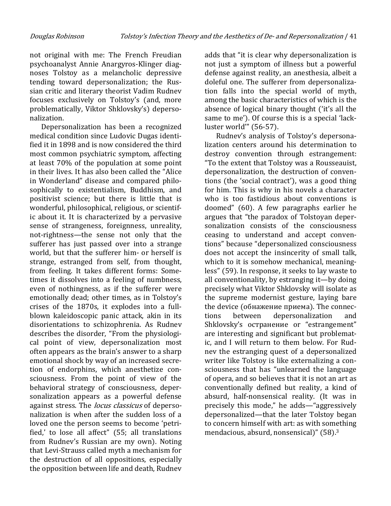not original with me: The French Freudian psychoanalyst Annie Anargyros-Klinger diagnoses Tolstoy as a melancholic depressive tending toward depersonalization; the Russian critic and literary theorist Vadim Rudnev focuses exclusively on Tolstoy's (and, more problematically, Viktor Shklovsky's) depersonalization.

Depersonalization has been a recognized medical condition since Ludovic Dugas identified it in 1898 and is now considered the third most common psychiatric symptom, affecting at least 70% of the population at some point in their lives. It has also been called the "Alice in Wonderland" disease and compared philosophically to existentialism, Buddhism, and positivist science; but there is little that is wonderful, philosophical, religious, or scientific about it. It is characterized by a pervasive sense of strangeness, foreignness, unreality, not-rightness—the sense not only that the sufferer has just passed over into a strange world, but that the sufferer him- or herself is strange, estranged from self, from thought, from feeling. It takes different forms: Sometimes it dissolves into a feeling of numbness, even of nothingness, as if the sufferer were emotionally dead; other times, as in Tolstoy's crises of the 1870s, it explodes into a fullblown kaleidoscopic panic attack, akin in its disorientations to schizophrenia. As Rudnev describes the disorder, "From the physiological point of view, depersonalization most often appears as the brain's answer to a sharp emotional shock by way of an increased secretion of endorphins, which anesthetize consciousness. From the point of view of the behavioral strategy of consciousness, depersonalization appears as a powerful defense against stress. The *locus classicus* of depersonalization is when after the sudden loss of a loved one the person seems to become 'petrified,' to lose all affect" (55; all translations from Rudnev's Russian are my own). Noting that Levi-Strauss called myth a mechanism for the destruction of all oppositions, especially the opposition between life and death, Rudnev

adds that "it is clear why depersonalization is not just a symptom of illness but a powerful defense against reality, an anesthesia, albeit a doleful one. The sufferer from depersonalization falls into the special world of myth, among the basic characteristics of which is the absence of logical binary thought ('it's all the same to me'). Of course this is a special 'lackluster world'" (56-57).

Rudnev's analysis of Tolstoy's depersonalization centers around his determination to destroy convention through estrangement: "To the extent that Tolstoy was a Rousseauist, depersonalization, the destruction of conventions (the 'social contract'), was a good thing for him. This is why in his novels a character who is too fastidious about conventions is doomed" (60). A few paragraphs earlier he argues that "the paradox of Tolstoyan depersonalization consists of the consciousness ceasing to understand and accept conventions" because "depersonalized consciousness does not accept the insincerity of small talk, which to it is somehow mechanical, meaningless" (59). In response, it seeks to lay waste to all conventionality, by estranging it—by doing precisely what Viktor Shklovsky will isolate as the supreme modernist gesture, laying bare the device (обнажение приема). The connections between depersonalization and Shklovsky's остранение or "estrangement" are interesting and significant but problematic, and I will return to them below. For Rudnev the estranging quest of a depersonalized writer like Tolstoy is like externalizing a consciousness that has "unlearned the language of opera, and so believes that it is not an art as conventionally defined but reality, a kind of absurd, half-nonsensical reality. (It was in precisely this mode," he adds—"aggressively depersonalized—that the later Tolstoy began to concern himself with art: as with something mendacious, absurd, nonsensical)" (58).3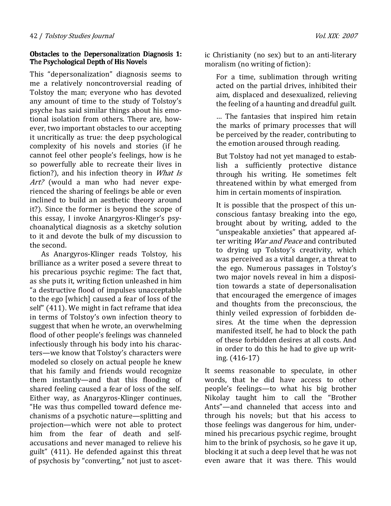#### Obstacles to the Depersonalization Diagnosis 1: The Psychological Depth of His Novels

This "depersonalization" diagnosis seems to me a relatively noncontroversial reading of Tolstoy the man; everyone who has devoted any amount of time to the study of Tolstoy's psyche has said similar things about his emotional isolation from others. There are, however, two important obstacles to our accepting it uncritically as true: the deep psychological complexity of his novels and stories (if he cannot feel other people's feelings, how is he so powerfully able to recreate their lives in fiction?), and his infection theory in *What Is* Art? (would a man who had never experienced the sharing of feelings be able or even inclined to build an aesthetic theory around it?). Since the former is beyond the scope of this essay, I invoke Anargyros-Klinger's psychoanalytical diagnosis as a sketchy solution to it and devote the bulk of my discussion to the second.

As Anargyros-Klinger reads Tolstoy, his brilliance as a writer posed a severe threat to his precarious psychic regime: The fact that, as she puts it, writing fiction unleashed in him "a destructive flood of impulses unacceptable to the ego [which] caused a fear of loss of the self" (411). We might in fact reframe that idea in terms of Tolstoy's own infection theory to suggest that when he wrote, an overwhelming flood of other people's feelings was channeled infectiously through his body into his characters—we know that Tolstoy's characters were modeled so closely on actual people he knew that his family and friends would recognize them instantly—and that this flooding of shared feeling caused a fear of loss of the self. Either way, as Anargyros-Klinger continues, "He was thus compelled toward defence mechanisms of a psychotic nature—splitting and projection—which were not able to protect him from the fear of death and selfaccusations and never managed to relieve his guilt" (411). He defended against this threat of psychosis by "converting," not just to ascetic Christianity (no sex) but to an anti-literary moralism (no writing of fiction):

For a time, sublimation through writing acted on the partial drives, inhibited their aim, displaced and desexualized, relieving the feeling of a haunting and dreadful guilt.

… The fantasies that inspired him retain the marks of primary processes that will be perceived by the reader, contributing to the emotion aroused through reading.

But Tolstoy had not yet managed to establish a sufficiently protective distance through his writing. He sometimes felt threatened within by what emerged from him in certain moments of inspiration.

It is possible that the prospect of this unconscious fantasy breaking into the ego, brought about by writing, added to the "unspeakable anxieties" that appeared after writing *War and Peace* and contributed to drying up Tolstoy's creativity, which was perceived as a vital danger, a threat to the ego. Numerous passages in Tolstoy's two major novels reveal in him a disposition towards a state of depersonalisation that encouraged the emergence of images and thoughts from the preconscious, the thinly veiled expression of forbidden desires. At the time when the depression manifested itself, he had to block the path of these forbidden desires at all costs. And in order to do this he had to give up writing. (416-17)

It seems reasonable to speculate, in other words, that he did have access to other people's feelings—to what his big brother Nikolay taught him to call the "Brother Ants"—and channeled that access into and through his novels; but that his access to those feelings was dangerous for him, undermined his precarious psychic regime, brought him to the brink of psychosis, so he gave it up, blocking it at such a deep level that he was not even aware that it was there. This would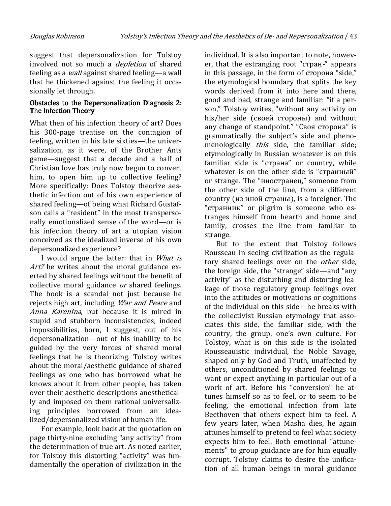suggest that depersonalization for Tolstoy involved not so much a *depletion* of shared feeling as a wall against shared feeling—a wall that he thickened against the feeling it occasionally let through.

#### Obstacles to the Depersonalization Diagnosis 2: The Infection Theory

What then of his infection theory of art? Does his 300-page treatise on the contagion of feeling, written in his late sixties—the universalization, as it were, of the Brother Ants game—suggest that a decade and a half of Christian love has truly now begun to convert him, to open him up to collective feeling? More specifically: Does Tolstoy theorize aesthetic infection out of his own experience of shared feeling—of being what Richard Gustafson calls a "resident" in the most transpersonally emotionalized sense of the word—or is his infection theory of art a utopian vision conceived as the idealized inverse of his own depersonalized experience?

I would argue the latter: that in *What is* Art? he writes about the moral guidance exerted by shared feelings without the benefit of collective moral guidance or shared feelings. The book is a scandal not just because he rejects high art, including *War and Peace* and Anna Karenina, but because it is mired in stupid and stubborn inconsistencies, indeed impossibilities, born, I suggest, out of his depersonalization—out of his inability to be guided by the very forces of shared moral feelings that he is theorizing. Tolstoy writes about the moral/aesthetic guidance of shared feelings as one who has borrowed what he knows about it from other people, has taken over their aesthetic descriptions anesthetically and imposed on them rational universalizing principles borrowed from an idealized/depersonalized vision of human life.

For example, look back at the quotation on page thirty-nine excluding "any activity" from the determination of true art. As noted earlier, for Tolstoy this distorting "activity" was fundamentally the operation of civilization in the individual. It is also important to note, however, that the estranging root "стран-" appears in this passage, in the form of сторона "side," the etymological boundary that splits the key words derived from it into here and there, good and bad, strange and familiar: "if a person," Tolstoy writes, "without any activity on his/her side (своей стороны) and without any change of standpoint." "Cвоя сторона" is grammatically the subject's side and phenomenologically *this* side, the familiar side; etymologically in Russian whatever is on this familiar side is "страна" or country, while whatever is on the other side is "странный" or strange. The "иностранец," someone from the other side of the line, from a different country (из иной страны), is a foreigner. The "странник" or pilgrim is someone who estranges himself from hearth and home and family, crosses the line from familiar to strange.

But to the extent that Tolstoy follows Rousseau in seeing civilization as the regulatory shared feelings over on the *other* side, the foreign side, the "strange" side—and "any activity" as the disturbing and distorting leakage of those regulatory group feelings over into the attitudes or motivations or cognitions of the individual on this side—he breaks with the collectivist Russian etymology that associates this side, the familiar side, with the country, the group, one's own culture. For Tolstoy, what is on this side is the isolated Rousseauistic individual, the Noble Savage, shaped only by God and Truth, unaffected by others, unconditioned by shared feelings to want or expect anything in particular out of a work of art. Before his "conversion" he attunes himself so as to feel, or to seem to be feeling, the emotional infection from late Beethoven that others expect him to feel. A few years later, when Masha dies, he again attunes himself to pretend to feel what society expects him to feel. Both emotional "attunements" to group guidance are for him equally corrupt. Tolstoy claims to desire the unification of all human beings in moral guidance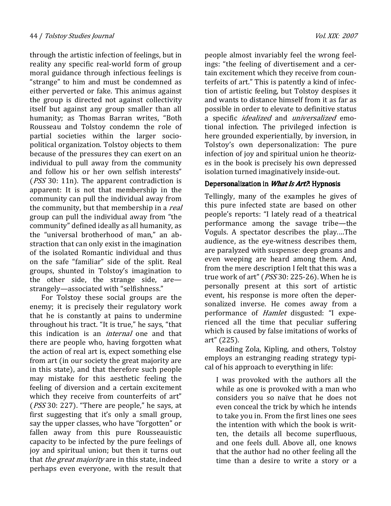through the artistic infection of feelings, but in reality any specific real-world form of group moral guidance through infectious feelings is "strange" to him and must be condemned as either perverted or fake. This animus against the group is directed not against collectivity itself but against any group smaller than all humanity; as Thomas Barran writes, "Both Rousseau and Tolstoy condemn the role of partial societies within the larger sociopolitical organization. Tolstoy objects to them because of the pressures they can exert on an individual to pull away from the community and follow his or her own selfish interests" (*PSS* 30: 11n). The apparent contradiction is apparent: It is not that membership in the community can pull the individual away from the community, but that membership in a *real* group can pull the individual away from "the community" defined ideally as all humanity, as the "universal brotherhood of man," an abstraction that can only exist in the imagination of the isolated Romantic individual and thus on the safe "familiar" side of the split. Real groups, shunted in Tolstoy's imagination to the other side, the strange side, are strangely—associated with "selfishness."

For Tolstoy these social groups are the enemy; it is precisely their regulatory work that he is constantly at pains to undermine throughout his tract. "It is true," he says, "that this indication is an *internal* one and that there are people who, having forgotten what the action of real art is, expect something else from art (in our society the great majority are in this state), and that therefore such people may mistake for this aesthetic feeling the feeling of diversion and a certain excitement which they receive from counterfeits of art" (PSS 30: 227). "There are people," he says, at first suggesting that it's only a small group, say the upper classes, who have "forgotten" or fallen away from this pure Rousseauistic capacity to be infected by the pure feelings of joy and spiritual union; but then it turns out that *the great majority* are in this state, indeed perhaps even everyone, with the result that

people almost invariably feel the wrong feelings: "the feeling of divertisement and a certain excitement which they receive from counterfeits of art." This is patently a kind of infection of artistic feeling, but Tolstoy despises it and wants to distance himself from it as far as possible in order to elevate to definitive status a specific *idealized* and *universalized* emotional infection. The privileged infection is here grounded experientially, by inversion, in Tolstoy's own depersonalization: The pure infection of joy and spiritual union he theorizes in the book is precisely his own depressed isolation turned imaginatively inside-out.

## Depersonalization in *What Is Art?*: Hypnosis

Tellingly, many of the examples he gives of this pure infected state are based on other people's reports: "I lately read of a theatrical performance among the savage tribe—the Voguls. A spectator describes the play.…The audience, as the eye-witness describes them, are paralyzed with suspense: deep groans and even weeping are heard among them. And, from the mere description I felt that this was a true work of art" (*PSS* 30: 225-26). When he is personally present at this sort of artistic event, his response is more often the depersonalized inverse. He comes away from a performance of Hamlet disgusted: "I experienced all the time that peculiar suffering which is caused by false imitations of works of art" (225).

Reading Zola, Kipling, and others, Tolstoy employs an estranging reading strategy typical of his approach to everything in life:

I was provoked with the authors all the while as one is provoked with a man who considers you so naïve that he does not even conceal the trick by which he intends to take you in. From the first lines one sees the intention with which the book is written, the details all become superfluous, and one feels dull. Above all, one knows that the author had no other feeling all the time than a desire to write a story or a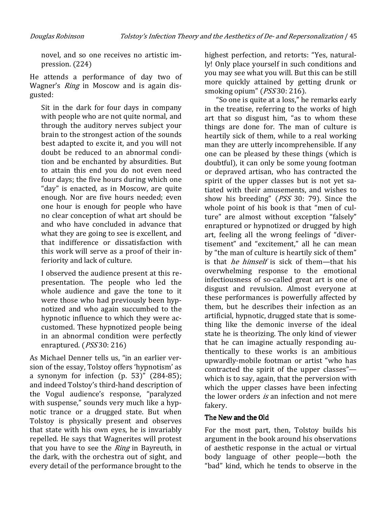novel, and so one receives no artistic impression. (224)

He attends a performance of day two of Wagner's *Ring* in Moscow and is again disgusted:

Sit in the dark for four days in company with people who are not quite normal, and through the auditory nerves subject your brain to the strongest action of the sounds best adapted to excite it, and you will not doubt be reduced to an abnormal condition and be enchanted by absurdities. But to attain this end you do not even need four days; the five hours during which one "day" is enacted, as in Moscow, are quite enough. Nor are five hours needed; even one hour is enough for people who have no clear conception of what art should be and who have concluded in advance that what they are going to see is excellent, and that indifference or dissatisfaction with this work will serve as a proof of their inferiority and lack of culture.

I observed the audience present at this representation. The people who led the whole audience and gave the tone to it were those who had previously been hypnotized and who again succumbed to the hypnotic influence to which they were accustomed. These hypnotized people being in an abnormal condition were perfectly enraptured. (PSS 30: 216)

As Michael Denner tells us, "in an earlier version of the essay, Tolstoy offers 'hypnotism' as a synonym for infection  $(p. 53)$ " (284-85); and indeed Tolstoy's third-hand description of the Vogul audience's response, "paralyzed with suspense," sounds very much like a hypnotic trance or a drugged state. But when Tolstoy is physically present and observes that state with his own eyes, he is invariably repelled. He says that Wagnerites will protest that you have to see the *Ring* in Bayreuth, in the dark, with the orchestra out of sight, and every detail of the performance brought to the

highest perfection, and retorts: "Yes, naturally! Only place yourself in such conditions and you may see what you will. But this can be still more quickly attained by getting drunk or smoking opium" (PSS 30: 216).

"So one is quite at a loss," he remarks early in the treatise, referring to the works of high art that so disgust him, "as to whom these things are done for. The man of culture is heartily sick of them, while to a real working man they are utterly incomprehensible. If any one can be pleased by these things (which is doubtful), it can only be some young footman or depraved artisan, who has contracted the spirit of the upper classes but is not yet satiated with their amusements, and wishes to show his breeding" (PSS 30: 79). Since the whole point of his book is that "men of culture" are almost without exception "falsely" enraptured or hypnotized or drugged by high art, feeling all the wrong feelings of "divertisement" and "excitement," all he can mean by "the man of culture is heartily sick of them" is that *he himself* is sick of them—that his overwhelming response to the emotional infectiousness of so-called great art is one of disgust and revulsion. Almost everyone at these performances is powerfully affected by them, but he describes their infection as an artificial, hypnotic, drugged state that is something like the demonic inverse of the ideal state he is theorizing. The only kind of viewer that he can imagine actually responding authentically to these works is an ambitious upwardly-mobile footman or artist "who has contracted the spirit of the upper classes" which is to say, again, that the perversion with which the upper classes have been infecting the lower orders is an infection and not mere fakery.

## The New and the Old

For the most part, then, Tolstoy builds his argument in the book around his observations of aesthetic response in the actual or virtual body language of other people—both the "bad" kind, which he tends to observe in the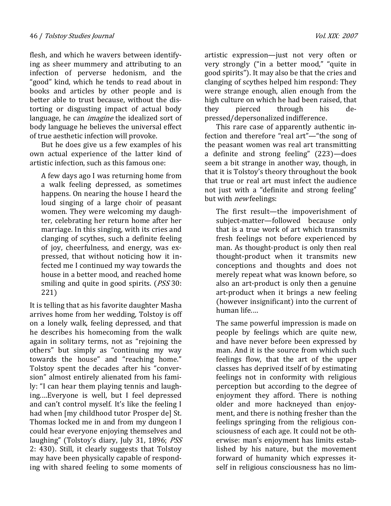flesh, and which he wavers between identifying as sheer mummery and attributing to an infection of perverse hedonism, and the "good" kind, which he tends to read about in books and articles by other people and is better able to trust because, without the distorting or disgusting impact of actual body language, he can *imagine* the idealized sort of body language he believes the universal effect of true aesthetic infection will provoke.

But he does give us a few examples of his own actual experience of the latter kind of artistic infection, such as this famous one:

A few days ago I was returning home from a walk feeling depressed, as sometimes happens. On nearing the house I heard the loud singing of a large choir of peasant women. They were welcoming my daughter, celebrating her return home after her marriage. In this singing, with its cries and clanging of scythes, such a definite feeling of joy, cheerfulness, and energy, was expressed, that without noticing how it infected me I continued my way towards the house in a better mood, and reached home smiling and quite in good spirits. (*PSS* 30: 221)

It is telling that as his favorite daughter Masha arrives home from her wedding, Tolstoy is off on a lonely walk, feeling depressed, and that he describes his homecoming from the walk again in solitary terms, not as "rejoining the others" but simply as "continuing my way towards the house" and "reaching home." Tolstoy spent the decades after his "conversion" almost entirely alienated from his family: "I can hear them playing tennis and laughing.…Everyone is well, but I feel depressed and can't control myself. It's like the feeling I had when [my childhood tutor Prosper de] St. Thomas locked me in and from my dungeon I could hear everyone enjoying themselves and laughing" (Tolstoy's diary, July 31, 1896; PSS 2: 430). Still, it clearly suggests that Tolstoy may have been physically capable of responding with shared feeling to some moments of artistic expression—just not very often or

very strongly ("in a better mood," "quite in good spirits"). It may also be that the cries and clanging of scythes helped him respond: They were strange enough, alien enough from the high culture on which he had been raised, that they pierced through his depressed/depersonalized indifference.

This rare case of apparently authentic infection and therefore "real art"—"the song of the peasant women was real art transmitting a definite and strong feeling" (223)—does seem a bit strange in another way, though, in that it is Tolstoy's theory throughout the book that true or real art must infect the audience not just with a "definite and strong feeling" but with *new* feelings:

The first result—the impoverishment of subject-matter—followed because only that is a true work of art which transmits fresh feelings not before experienced by man. As thought-product is only then real thought-product when it transmits new conceptions and thoughts and does not merely repeat what was known before, so also an art-product is only then a genuine art-product when it brings a new feeling (however insignificant) into the current of human life.…

The same powerful impression is made on people by feelings which are quite new, and have never before been expressed by man. And it is the source from which such feelings flow, that the art of the upper classes has deprived itself of by estimating feelings not in conformity with religious perception but according to the degree of enjoyment they afford. There is nothing older and more hackneyed than enjoyment, and there is nothing fresher than the feelings springing from the religious consciousness of each age. It could not be otherwise: man's enjoyment has limits established by his nature, but the movement forward of humanity which expresses itself in religious consciousness has no lim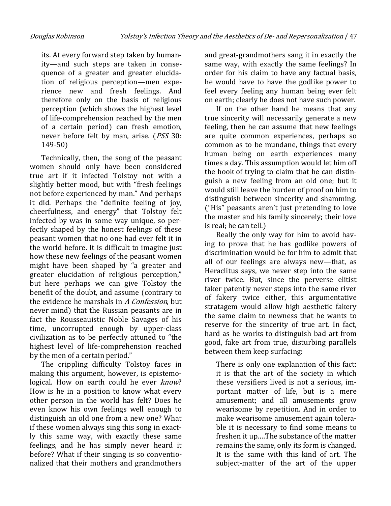its. At every forward step taken by humanity—and such steps are taken in consequence of a greater and greater elucidation of religious perception—men experience new and fresh feelings. And therefore only on the basis of religious perception (which shows the highest level of life-comprehension reached by the men of a certain period) can fresh emotion, never before felt by man, arise. (PSS 30: 149-50)

Technically, then, the song of the peasant women should only have been considered true art if it infected Tolstoy not with a slightly better mood, but with "fresh feelings not before experienced by man." And perhaps it did. Perhaps the "definite feeling of joy, cheerfulness, and energy" that Tolstoy felt infected by was in some way unique, so perfectly shaped by the honest feelings of these peasant women that no one had ever felt it in the world before. It is difficult to imagine just how these new feelings of the peasant women might have been shaped by "a greater and greater elucidation of religious perception," but here perhaps we can give Tolstoy the benefit of the doubt, and assume (contrary to the evidence he marshals in A Confession, but never mind) that the Russian peasants are in fact the Rousseauistic Noble Savages of his time, uncorrupted enough by upper-class civilization as to be perfectly attuned to "the highest level of life-comprehension reached by the men of a certain period."

The crippling difficulty Tolstoy faces in making this argument, however, is epistemological. How on earth could he ever know? How is he in a position to know what every other person in the world has felt? Does he even know his own feelings well enough to distinguish an old one from a new one? What if these women always sing this song in exactly this same way, with exactly these same feelings, and he has simply never heard it before? What if their singing is so conventionalized that their mothers and grandmothers

and great-grandmothers sang it in exactly the same way, with exactly the same feelings? In order for his claim to have any factual basis, he would have to have the godlike power to feel every feeling any human being ever felt on earth; clearly he does not have such power.

If on the other hand he means that any true sincerity will necessarily generate a new feeling, then he can assume that new feelings are quite common experiences, perhaps so common as to be mundane, things that every human being on earth experiences many times a day. This assumption would let him off the hook of trying to claim that he can distinguish a new feeling from an old one; but it would still leave the burden of proof on him to distinguish between sincerity and shamming. ("His" peasants aren't just pretending to love the master and his family sincerely; their love is real; he can tell.)

Really the only way for him to avoid having to prove that he has godlike powers of discrimination would be for him to admit that all of our feelings are always new—that, as Heraclitus says, we never step into the same river twice. But, since the perverse elitist faker patently never steps into the same river of fakery twice either, this argumentative stratagem would allow high aesthetic fakery the same claim to newness that he wants to reserve for the sincerity of true art. In fact, hard as he works to distinguish bad art from good, fake art from true, disturbing parallels between them keep surfacing:

There is only one explanation of this fact: it is that the art of the society in which these versifiers lived is not a serious, important matter of life, but is a mere amusement; and all amusements grow wearisome by repetition. And in order to make wearisome amusement again tolerable it is necessary to find some means to freshen it up.…The substance of the matter remains the same, only its form is changed. It is the same with this kind of art. The subject-matter of the art of the upper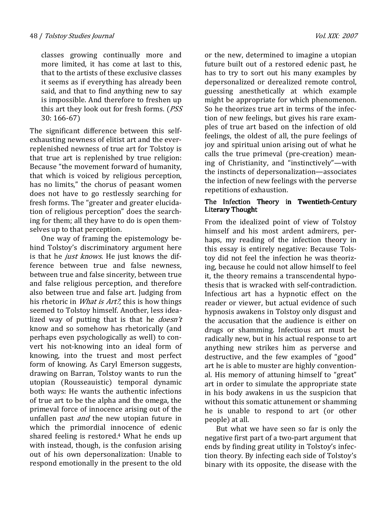classes growing continually more and more limited, it has come at last to this, that to the artists of these exclusive classes it seems as if everything has already been said, and that to find anything new to say is impossible. And therefore to freshen up this art they look out for fresh forms. (PSS 30: 166-67)

The significant difference between this selfexhausting newness of elitist art and the everreplenished newness of true art for Tolstoy is that true art is replenished by true religion: Because "the movement forward of humanity, that which is voiced by religious perception, has no limits," the chorus of peasant women does not have to go restlessly searching for fresh forms. The "greater and greater elucidation of religious perception" does the searching for them; all they have to do is open themselves up to that perception.

One way of framing the epistemology behind Tolstoy's discriminatory argument here is that he *just knows*. He just knows the difference between true and false newness, between true and false sincerity, between true and false religious perception, and therefore also between true and false art. Judging from his rhetoric in *What is Art?*, this is how things seemed to Tolstoy himself. Another, less idealized way of putting that is that he *doesn't* know and so somehow has rhetorically (and perhaps even psychologically as well) to convert his not-knowing into an ideal form of knowing, into the truest and most perfect form of knowing. As Caryl Emerson suggests, drawing on Barran, Tolstoy wants to run the utopian (Rousseauistic) temporal dynamic both ways: He wants the authentic infections of true art to be the alpha and the omega, the primeval force of innocence arising out of the unfallen past *and* the new utopian future in which the primordial innocence of edenic shared feeling is restored.<sup>4</sup> What he ends up with instead, though, is the confusion arising out of his own depersonalization: Unable to respond emotionally in the present to the old

or the new, determined to imagine a utopian future built out of a restored edenic past, he has to try to sort out his many examples by depersonalized or derealized remote control, guessing anesthetically at which example might be appropriate for which phenomenon. So he theorizes true art in terms of the infection of new feelings, but gives his rare examples of true art based on the infection of old feelings, the oldest of all, the pure feelings of joy and spiritual union arising out of what he calls the true primeval (pre-creation) meaning of Christianity, and "instinctively"—with the instincts of depersonalization—associates the infection of new feelings with the perverse repetitions of exhaustion.

#### The Infection Theory in Twentieth-Century Literary Thought

From the idealized point of view of Tolstoy himself and his most ardent admirers, perhaps, my reading of the infection theory in this essay is entirely negative: Because Tolstoy did not feel the infection he was theorizing, because he could not allow himself to feel it, the theory remains a transcendental hypothesis that is wracked with self-contradiction. Infectious art has a hypnotic effect on the reader or viewer, but actual evidence of such hypnosis awakens in Tolstoy only disgust and the accusation that the audience is either on drugs or shamming. Infectious art must be radically new, but in his actual response to art anything new strikes him as perverse and destructive, and the few examples of "good" art he is able to muster are highly conventional. His memory of attuning himself to "great" art in order to simulate the appropriate state in his body awakens in us the suspicion that without this somatic attunement or shamming he is unable to respond to art (or other people) at all.

But what we have seen so far is only the negative first part of a two-part argument that ends by finding great utility in Tolstoy's infection theory. By infecting each side of Tolstoy's binary with its opposite, the disease with the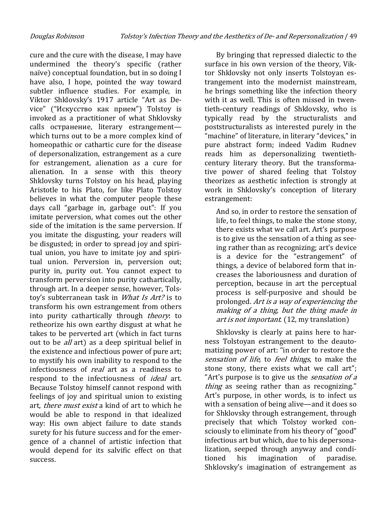cure and the cure with the disease, I may have undermined the theory's specific (rather naïve) conceptual foundation, but in so doing I have also, I hope, pointed the way toward subtler influence studies. For example, in Viktor Shklovsky's 1917 article "Art as Device" ("Искусство как прием") Tolstoy is invoked as a practitioner of what Shklovsky calls остранение, literary estrangement which turns out to be a more complex kind of homeopathic or cathartic cure for the disease of depersonalization, estrangement as a cure for estrangement, alienation as a cure for alienation. In a sense with this theory Shklovsky turns Tolstoy on his head, playing Aristotle to his Plato, for like Plato Tolstoy believes in what the computer people these days call "garbage in, garbage out": If you imitate perversion, what comes out the other side of the imitation is the same perversion. If you imitate the disgusting, your readers will be disgusted; in order to spread joy and spiritual union, you have to imitate joy and spiritual union. Perversion in, perversion out; purity in, purity out. You cannot expect to transform perversion into purity cathartically, through art. In a deeper sense, however, Tolstoy's subterranean task in *What Is Art?* is to transform his own estrangement from others into purity cathartically through *theory*: to retheorize his own earthy disgust at what he takes to be perverted art (which in fact turns out to be *all* art) as a deep spiritual belief in the existence and infectious power of pure art; to mystify his own inability to respond to the infectiousness of *real* art as a readiness to respond to the infectiousness of *ideal* art. Because Tolstoy himself cannot respond with feelings of joy and spiritual union to existing art, *there must exist* a kind of art to which he would be able to respond in that idealized way: His own abject failure to date stands surety for his future success and for the emergence of a channel of artistic infection that would depend for its salvific effect on that success.

By bringing that repressed dialectic to the surface in his own version of the theory, Viktor Shklovsky not only inserts Tolstoyan estrangement into the modernist mainstream, he brings something like the infection theory with it as well. This is often missed in twentieth-century readings of Shklovsky, who is typically read by the structuralists and poststructuralists as interested purely in the "machine" of literature, in literary "devices," in pure abstract form; indeed Vadim Rudnev reads him as depersonalizing twentiethcentury literary theory. But the transformative power of shared feeling that Tolstoy theorizes as aesthetic infection is strongly at work in Shklovsky's conception of literary estrangement:

And so, in order to restore the sensation of life, to feel things, to make the stone stony, there exists what we call art. Art's purpose is to give us the sensation of a thing as seeing rather than as recognizing; art's device is a device for the "estrangement" of things, a device of belabored form that increases the laboriousness and duration of perception, because in art the perceptual process is self-purposive and should be prolonged. Art is a way of experiencing the making of a thing, but the thing made in art is not important. (12, my translation)

Shklovsky is clearly at pains here to harness Tolstoyan estrangement to the deautomatizing power of art: "in order to restore the sensation of life, to feel things, to make the stone stony, there exists what we call art"; "Art's purpose is to give us the *sensation of a* thing as seeing rather than as recognizing." Art's purpose, in other words, is to infect us with a sensation of being alive—and it does so for Shklovsky through estrangement, through precisely that which Tolstoy worked consciously to eliminate from his theory of "good" infectious art but which, due to his depersonalization, seeped through anyway and conditioned his imagination of paradise. Shklovsky's imagination of estrangement as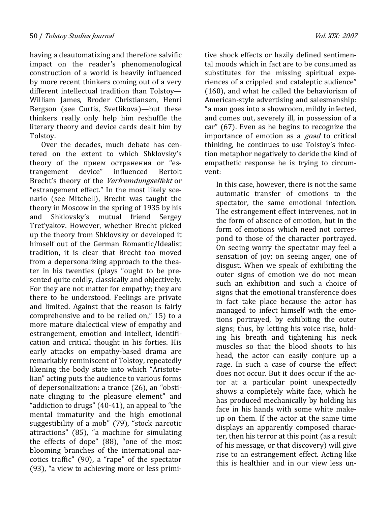having a deautomatizing and therefore salvific impact on the reader's phenomenological construction of a world is heavily influenced by more recent thinkers coming out of a very different intellectual tradition than Tolstoy— William James, Broder Christiansen, Henri Bergson (see Curtis, Svetlikova)—but these thinkers really only help him reshuffle the literary theory and device cards dealt him by Tolstoy.

Over the decades, much debate has centered on the extent to which Shklovsky's theory of the прием остранения or "estrangement device" influenced Bertolt Brecht's theory of the Verfremdungseffekt or "estrangement effect." In the most likely scenario (see Mitchell), Brecht was taught the theory in Moscow in the spring of 1935 by his and Shklovsky's mutual friend Sergey Tret'yakov. However, whether Brecht picked up the theory from Shklovsky or developed it himself out of the German Romantic/Idealist tradition, it is clear that Brecht too moved from a depersonalizing approach to the theater in his twenties (plays "ought to be presented quite coldly, classically and objectively. For they are not matter for empathy; they are there to be understood. Feelings are private and limited. Against that the reason is fairly comprehensive and to be relied on," 15) to a more mature dialectical view of empathy and estrangement, emotion and intellect, identification and critical thought in his forties. His early attacks on empathy-based drama are remarkably reminiscent of Tolstoy, repeatedly likening the body state into which "Aristotelian" acting puts the audience to various forms of depersonalization: a trance (26), an "obstinate clinging to the pleasure element" and "addiction to drugs" (40-41), an appeal to "the mental immaturity and the high emotional suggestibility of a mob" (79), "stock narcotic attractions" (85), "a machine for simulating the effects of dope" (88), "one of the most blooming branches of the international narcotics traffic" (90), a "rape" of the spectator (93), "a view to achieving more or less primitive shock effects or hazily defined sentimental moods which in fact are to be consumed as substitutes for the missing spiritual experiences of a crippled and cataleptic audience" (160), and what he called the behaviorism of American-style advertising and salesmanship: "a man goes into a showroom, mildly infected, and comes out, severely ill, in possession of a car" (67). Even as he begins to recognize the importance of emotion as a *goad* to critical thinking, he continues to use Tolstoy's infection metaphor negatively to deride the kind of empathetic response he is trying to circumvent:

In this case, however, there is not the same automatic transfer of emotions to the spectator, the same emotional infection. The estrangement effect intervenes, not in the form of absence of emotion, but in the form of emotions which need not correspond to those of the character portrayed. On seeing worry the spectator may feel a sensation of joy; on seeing anger, one of disgust. When we speak of exhibiting the outer signs of emotion we do not mean such an exhibition and such a choice of signs that the emotional transference does in fact take place because the actor has managed to infect himself with the emotions portrayed, by exhibiting the outer signs; thus, by letting his voice rise, holding his breath and tightening his neck muscles so that the blood shoots to his head, the actor can easily conjure up a rage. In such a case of course the effect does not occur. But it does occur if the actor at a particular point unexpectedly shows a completely white face, which he has produced mechanically by holding his face in his hands with some white makeup on them. If the actor at the same time displays an apparently composed character, then his terror at this point (as a result of his message, or that discovery) will give rise to an estrangement effect. Acting like this is healthier and in our view less un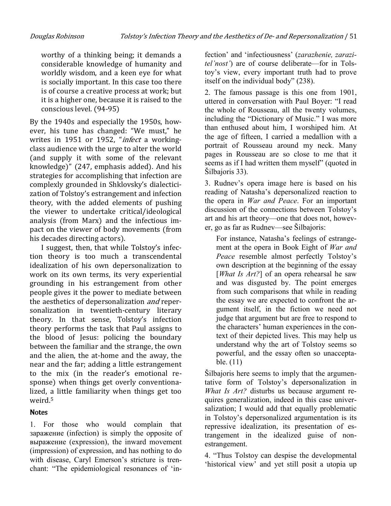worthy of a thinking being; it demands a considerable knowledge of humanity and worldly wisdom, and a keen eye for what is socially important. In this case too there is of course a creative process at work; but it is a higher one, because it is raised to the conscious level. (94-95)

By the 1940s and especially the 1950s, however, his tune has changed: "We must," he writes in 1951 or 1952, "infect a workingclass audience with the urge to alter the world (and supply it with some of the relevant knowledge)" (247, emphasis added). And his strategies for accomplishing that infection are complexly grounded in Shklovsky's dialecticization of Tolstoy's estrangement and infection theory, with the added elements of pushing the viewer to undertake critical/ideological analysis (from Marx) and the infectious impact on the viewer of body movements (from his decades directing actors).

I suggest, then, that while Tolstoy's infection theory is too much a transcendental idealization of his own depersonalization to work on its own terms, its very experiential grounding in his estrangement from other people gives it the power to mediate between the aesthetics of depersonalization and repersonalization in twentieth-century literary theory. In that sense, Tolstoy's infection theory performs the task that Paul assigns to the blood of Jesus: policing the boundary between the familiar and the strange, the own and the alien, the at-home and the away, the near and the far; adding a little estrangement to the mix (in the reader's emotional response) when things get overly conventionalized, a little familiarity when things get too weird.<sup>5</sup>

## **Notes**

1. For those who would complain that заражение (infection) is simply the opposite of выражение (expression), the inward movement (impression) of expression, and has nothing to do with disease, Caryl Emerson's stricture is trenchant: "The epidemiological resonances of 'infection' and 'infectiousness' (zarazhenie, zarazitel'nost') are of course deliberate—for in Tolstoy's view, every important truth had to prove itself on the individual body" (238).

2. The famous passage is this one from 1901, uttered in conversation with Paul Boyer: "I read the whole of Rousseau, all the twenty volumes, including the "Dictionary of Music." I was more than enthused about him, I worshiped him. At the age of fifteen, I carried a medallion with a portrait of Rousseau around my neck. Many pages in Rousseau are so close to me that it seems as if I had written them myself" (quoted in Šilbajoris 33).

3. Rudnev's opera image here is based on his reading of Natasha's depersonalized reaction to the opera in War and Peace. For an important discussion of the connections between Tolstoy's art and his art theory—one that does not, however, go as far as Rudnev—see Šilbajoris:

For instance, Natasha's feelings of estrangement at the opera in Book Eight of War and Peace resemble almost perfectly Tolstoy's own description at the beginning of the essay [*What Is Art?*] of an opera rehearsal he saw and was disgusted by. The point emerges from such comparisons that while in reading the essay we are expected to confront the argument itself, in the fiction we need not judge that argument but are free to respond to the characters' human experiences in the context of their depicted lives. This may help us understand why the art of Tolstoy seems so powerful, and the essay often so unacceptable. (11)

Šilbajoris here seems to imply that the argumentative form of Tolstoy's depersonalization in What Is Art? disturbs us because argument requires generalization, indeed in this case universalization; I would add that equally problematic in Tolstoy's depersonalized argumentation is its repressive idealization, its presentation of estrangement in the idealized guise of nonestrangement.

4. "Thus Tolstoy can despise the developmental 'historical view' and yet still posit a utopia up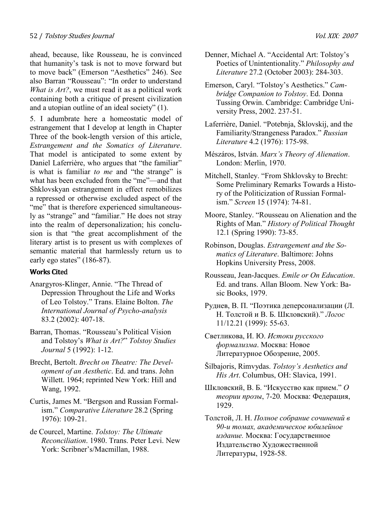ahead, because, like Rousseau, he is convinced that humanity's task is not to move forward but to move back" (Emerson "Aesthetics" 246). See also Barran "Rousseau": "In order to understand What is Art?, we must read it as a political work containing both a critique of present civilization and a utopian outline of an ideal society" (1).

5. I adumbrate here a homeostatic model of estrangement that I develop at length in Chapter Three of the book-length version of this article, Estrangement and the Somatics of Literature. That model is anticipated to some extent by Daniel Laferrière, who argues that "the familiar" is what is familiar to me and "the strange" is what has been excluded from the "me"—and that Shklovskyan estrangement in effect remobilizes a repressed or otherwise excluded aspect of the "me" that is therefore experienced simultaneously as "strange" and "familiar." He does not stray into the realm of depersonalization; his conclusion is that "the great accomplishment of the literary artist is to present us with complexes of semantic material that harmlessly return us to early ego states" (186-87).

## Works Cited

- Anargyros-Klinger, Annie. "The Thread of Depression Throughout the Life and Works of Leo Tolstoy." Trans. Elaine Bolton. The International Journal of Psycho-analysis 83.2 (2002): 407-18.
- Barran, Thomas. "Rousseau's Political Vision and Tolstoy's What is Art?" Tolstoy Studies Journal 5 (1992): 1-12.
- Brecht, Bertolt. Brecht on Theatre: The Development of an Aesthetic. Ed. and trans. John Willett. 1964; reprinted New York: Hill and Wang, 1992.
- Curtis, James M. "Bergson and Russian Formalism." Comparative Literature 28.2 (Spring 1976): 109-21.
- de Courcel, Martine. Tolstoy: The Ultimate Reconciliation. 1980. Trans. Peter Levi. New York: Scribner's/Macmillan, 1988.
- Denner, Michael A. "Accidental Art: Tolstoy's Poetics of Unintentionality." Philosophy and Literature 27.2 (October 2003): 284-303.
- Emerson, Caryl. "Tolstoy's Aesthetics." Cambridge Companion to Tolstoy. Ed. Donna Tussing Orwin. Cambridge: Cambridge University Press, 2002. 237-51.
- Laferrière, Daniel. "Potebnja, Šklovskij, and the Familiarity/Strangeness Paradox." Russian Literature 4.2 (1976): 175-98.
- Mészáros, István. Marx's Theory of Alienation. London: Merlin, 1970.
- Mitchell, Stanley. "From Shklovsky to Brecht: Some Preliminary Remarks Towards a History of the Politicization of Russian Formalism." Screen 15 (1974): 74-81.
- Moore, Stanley. "Rousseau on Alienation and the Rights of Man." History of Political Thought 12.1 (Spring 1990): 73-85.
- Robinson, Douglas. Estrangement and the Somatics of Literature. Baltimore: Johns Hopkins University Press, 2008.
- Rousseau, Jean-Jacques. Emile or On Education. Ed. and trans. Allan Bloom. New York: Basic Books, 1979.
- Руднев, В. П. "Поэтика деперсонализации (Л. Н. Толстой и В. Б. Шкловский)." Логос 11/12.21 (1999): 55-63.
- Светликова, И. Ю. Истоки русского формализма. Mосква: Новое Литературное Обозрение, 2005.
- Šilbajoris, Rimvydas. Tolstoy's Aesthetics and His Art. Columbus, OH: Slavica, 1991.
- Шкловский, В. Б. "Искусство как прием." O теории прозы, 7-20. Mосква: Федерация, 1929.
- Толстой, Л. Н. Полное собрание сочинений в 90-и томах, академическое юбилейное издание. Москва: Государственное Издательство Художественной Литературы, 1928-58.